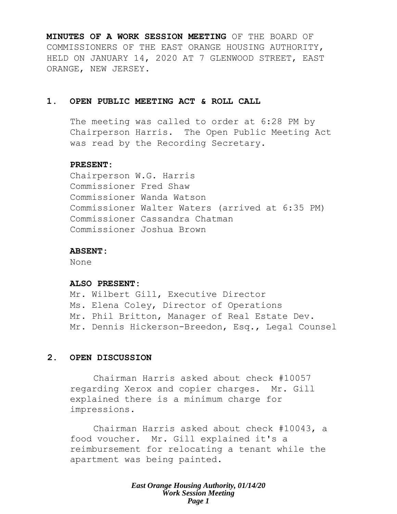**MINUTES OF A WORK SESSION MEETING** OF THE BOARD OF COMMISSIONERS OF THE EAST ORANGE HOUSING AUTHORITY, HELD ON JANUARY 14, 2020 AT 7 GLENWOOD STREET, EAST ORANGE, NEW JERSEY.

## **1. OPEN PUBLIC MEETING ACT & ROLL CALL**

The meeting was called to order at 6:28 PM by Chairperson Harris. The Open Public Meeting Act was read by the Recording Secretary.

#### **PRESENT:**

Chairperson W.G. Harris Commissioner Fred Shaw Commissioner Wanda Watson Commissioner Walter Waters (arrived at 6:35 PM) Commissioner Cassandra Chatman Commissioner Joshua Brown

## **ABSENT:**

None

#### **ALSO PRESENT:**

Mr. Wilbert Gill, Executive Director Ms. Elena Coley, Director of Operations Mr. Phil Britton, Manager of Real Estate Dev. Mr. Dennis Hickerson-Breedon, Esq., Legal Counsel

## **2. OPEN DISCUSSION**

Chairman Harris asked about check #10057 regarding Xerox and copier charges. Mr. Gill explained there is a minimum charge for impressions.

Chairman Harris asked about check #10043, a food voucher. Mr. Gill explained it's a reimbursement for relocating a tenant while the apartment was being painted.

> *East Orange Housing Authority, 01/14/20 Work Session Meeting Page 1*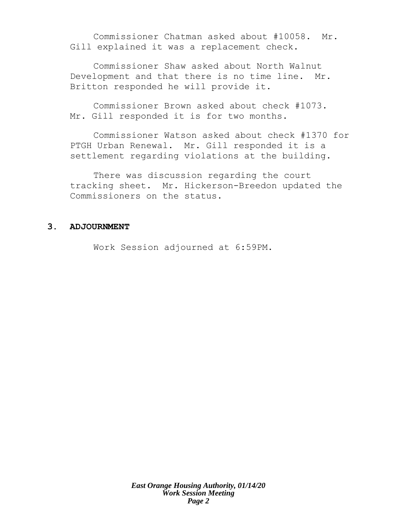Commissioner Chatman asked about #10058. Mr. Gill explained it was a replacement check.

Commissioner Shaw asked about North Walnut Development and that there is no time line. Mr. Britton responded he will provide it.

Commissioner Brown asked about check #1073. Mr. Gill responded it is for two months.

Commissioner Watson asked about check #1370 for PTGH Urban Renewal. Mr. Gill responded it is a settlement regarding violations at the building.

There was discussion regarding the court tracking sheet. Mr. Hickerson-Breedon updated the Commissioners on the status.

## **3. ADJOURNMENT**

Work Session adjourned at 6:59PM.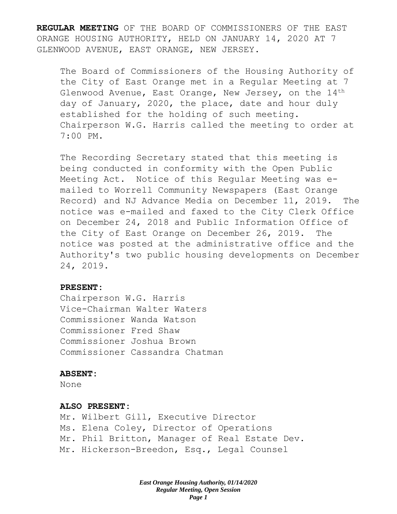**REGULAR MEETING** OF THE BOARD OF COMMISSIONERS OF THE EAST ORANGE HOUSING AUTHORITY, HELD ON JANUARY 14, 2020 AT 7 GLENWOOD AVENUE, EAST ORANGE, NEW JERSEY.

The Board of Commissioners of the Housing Authority of the City of East Orange met in a Regular Meeting at 7 Glenwood Avenue, East Orange, New Jersey, on the 14<sup>th</sup> day of January, 2020, the place, date and hour duly established for the holding of such meeting. Chairperson W.G. Harris called the meeting to order at 7:00 PM.

The Recording Secretary stated that this meeting is being conducted in conformity with the Open Public Meeting Act. Notice of this Regular Meeting was emailed to Worrell Community Newspapers (East Orange Record) and NJ Advance Media on December 11, 2019. The notice was e-mailed and faxed to the City Clerk Office on December 24, 2018 and Public Information Office of the City of East Orange on December 26, 2019. The notice was posted at the administrative office and the Authority's two public housing developments on December 24, 2019.

#### **PRESENT:**

Chairperson W.G. Harris Vice-Chairman Walter Waters Commissioner Wanda Watson Commissioner Fred Shaw Commissioner Joshua Brown Commissioner Cassandra Chatman

#### **ABSENT:**

None

#### **ALSO PRESENT:**

Mr. Wilbert Gill, Executive Director Ms. Elena Coley, Director of Operations Mr. Phil Britton, Manager of Real Estate Dev. Mr. Hickerson-Breedon, Esq., Legal Counsel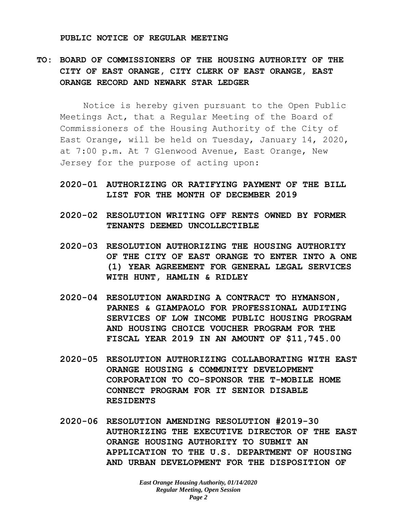#### **PUBLIC NOTICE OF REGULAR MEETING**

# **TO: BOARD OF COMMISSIONERS OF THE HOUSING AUTHORITY OF THE CITY OF EAST ORANGE, CITY CLERK OF EAST ORANGE, EAST ORANGE RECORD AND NEWARK STAR LEDGER**

Notice is hereby given pursuant to the Open Public Meetings Act, that a Regular Meeting of the Board of Commissioners of the Housing Authority of the City of East Orange, will be held on Tuesday, January 14, 2020, at 7:00 p.m. At 7 Glenwood Avenue, East Orange, New Jersey for the purpose of acting upon:

- **2020-01 AUTHORIZING OR RATIFYING PAYMENT OF THE BILL LIST FOR THE MONTH OF DECEMBER 2019**
- **2020-02 RESOLUTION WRITING OFF RENTS OWNED BY FORMER TENANTS DEEMED UNCOLLECTIBLE**
- **2020-03 RESOLUTION AUTHORIZING THE HOUSING AUTHORITY OF THE CITY OF EAST ORANGE TO ENTER INTO A ONE (1) YEAR AGREEMENT FOR GENERAL LEGAL SERVICES WITH HUNT, HAMLIN & RIDLEY**
- **2020-04 RESOLUTION AWARDING A CONTRACT TO HYMANSON, PARNES & GIAMPAOLO FOR PROFESSIONAL AUDITING SERVICES OF LOW INCOME PUBLIC HOUSING PROGRAM AND HOUSING CHOICE VOUCHER PROGRAM FOR THE FISCAL YEAR 2019 IN AN AMOUNT OF \$11,745.00**
- **2020-05 RESOLUTION AUTHORIZING COLLABORATING WITH EAST ORANGE HOUSING & COMMUNITY DEVELOPMENT CORPORATION TO CO-SPONSOR THE T-MOBILE HOME CONNECT PROGRAM FOR IT SENIOR DISABLE RESIDENTS**
- **2020-06 RESOLUTION AMENDING RESOLUTION #2019-30 AUTHORIZING THE EXECUTIVE DIRECTOR OF THE EAST ORANGE HOUSING AUTHORITY TO SUBMIT AN APPLICATION TO THE U.S. DEPARTMENT OF HOUSING AND URBAN DEVELOPMENT FOR THE DISPOSITION OF**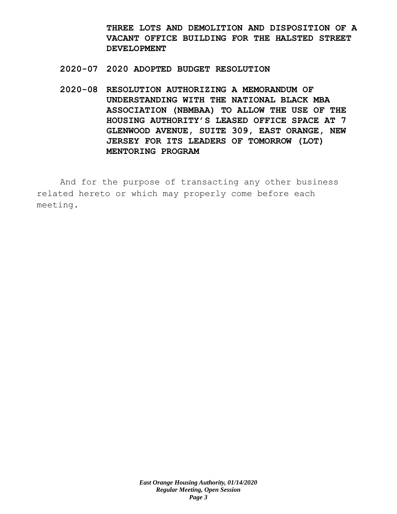**THREE LOTS AND DEMOLITION AND DISPOSITION OF A VACANT OFFICE BUILDING FOR THE HALSTED STREET DEVELOPMENT**

- **2020-07 2020 ADOPTED BUDGET RESOLUTION**
- **2020-08 RESOLUTION AUTHORIZING A MEMORANDUM OF UNDERSTANDING WITH THE NATIONAL BLACK MBA ASSOCIATION (NBMBAA) TO ALLOW THE USE OF THE HOUSING AUTHORITY'S LEASED OFFICE SPACE AT 7 GLENWOOD AVENUE, SUITE 309, EAST ORANGE, NEW JERSEY FOR ITS LEADERS OF TOMORROW (LOT) MENTORING PROGRAM**

And for the purpose of transacting any other business related hereto or which may properly come before each meeting.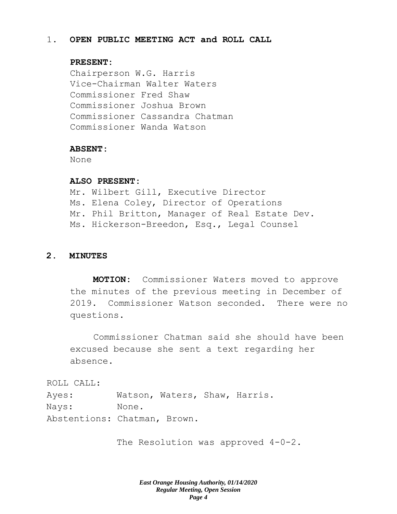## 1. **OPEN PUBLIC MEETING ACT and ROLL CALL**

## **PRESENT:**

Chairperson W.G. Harris Vice-Chairman Walter Waters Commissioner Fred Shaw Commissioner Joshua Brown Commissioner Cassandra Chatman Commissioner Wanda Watson

#### **ABSENT:**

None

## **ALSO PRESENT:**

Mr. Wilbert Gill, Executive Director Ms. Elena Coley, Director of Operations Mr. Phil Britton, Manager of Real Estate Dev. Ms. Hickerson-Breedon, Esq., Legal Counsel

#### **2. MINUTES**

**MOTION:** Commissioner Waters moved to approve the minutes of the previous meeting in December of 2019. Commissioner Watson seconded. There were no questions.

Commissioner Chatman said she should have been excused because she sent a text regarding her absence.

ROLL CALL:

Ayes: Watson, Waters, Shaw, Harris. Nays: None. Abstentions: Chatman, Brown.

The Resolution was approved  $4-0-2$ .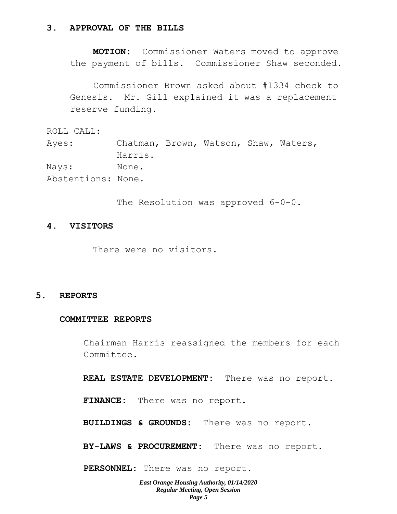#### **3. APPROVAL OF THE BILLS**

**MOTION:** Commissioner Waters moved to approve the payment of bills. Commissioner Shaw seconded.

Commissioner Brown asked about #1334 check to Genesis. Mr. Gill explained it was a replacement reserve funding.

ROLL CALL:

Ayes: Chatman, Brown, Watson, Shaw, Waters, Harris. Nays: None. Abstentions: None.

The Resolution was approved 6-0-0.

## **4. VISITORS**

There were no visitors.

#### **5. REPORTS**

## **COMMITTEE REPORTS**

Chairman Harris reassigned the members for each Committee.

**REAL ESTATE DEVELOPMENT:** There was no report.

**FINANCE:** There was no report.

**BUILDINGS & GROUNDS:** There was no report.

**BY-LAWS & PROCUREMENT:** There was no report.

**PERSONNEL:** There was no report.

*East Orange Housing Authority, 01/14/2020 Regular Meeting, Open Session Page 5*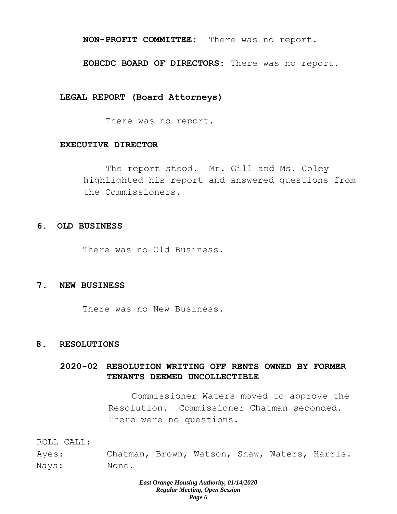#### **NON-PROFIT COMMITTEE:** There was no report.

#### **EOHCDC BOARD OF DIRECTORS**: There was no report.

#### **LEGAL REPORT (Board Attorneys)**

There was no report.

#### **EXECUTIVE DIRECTOR**

The report stood. Mr. Gill and Ms. Coley highlighted his report and answered questions from the Commissioners.

## **6. OLD BUSINESS**

There was no Old Business.

#### **7. NEW BUSINESS**

There was no New Business.

## **8. RESOLUTIONS**

## **2020-02 RESOLUTION WRITING OFF RENTS OWNED BY FORMER TENANTS DEEMED UNCOLLECTIBLE**

Commissioner Waters moved to approve the Resolution. Commissioner Chatman seconded. There were no questions.

ROLL CALL:

Ayes: Chatman, Brown, Watson, Shaw, Waters, Harris. Nays: None.

#### *East Orange Housing Authority, 01/14/2020 Regular Meeting, Open Session Page 6*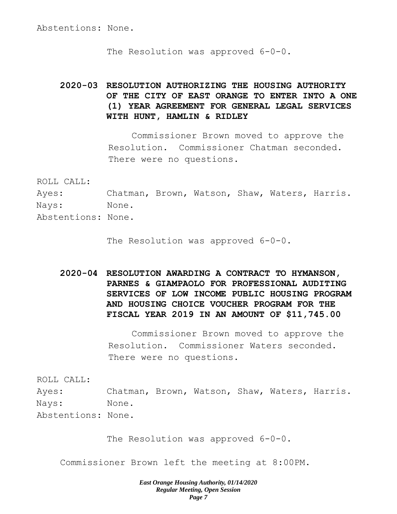The Resolution was approved 6-0-0.

# **2020-03 RESOLUTION AUTHORIZING THE HOUSING AUTHORITY OF THE CITY OF EAST ORANGE TO ENTER INTO A ONE (1) YEAR AGREEMENT FOR GENERAL LEGAL SERVICES WITH HUNT, HAMLIN & RIDLEY**

Commissioner Brown moved to approve the Resolution. Commissioner Chatman seconded. There were no questions.

ROLL CALL:

Ayes: Chatman, Brown, Watson, Shaw, Waters, Harris. Nays: None.

Abstentions: None.

The Resolution was approved  $6-0-0$ .

**2020-04 RESOLUTION AWARDING A CONTRACT TO HYMANSON, PARNES & GIAMPAOLO FOR PROFESSIONAL AUDITING SERVICES OF LOW INCOME PUBLIC HOUSING PROGRAM AND HOUSING CHOICE VOUCHER PROGRAM FOR THE FISCAL YEAR 2019 IN AN AMOUNT OF \$11,745.00**

> Commissioner Brown moved to approve the Resolution. Commissioner Waters seconded. There were no questions.

ROLL CALL:

Ayes: Chatman, Brown, Watson, Shaw, Waters, Harris. Nays: None. Abstentions: None.

The Resolution was approved 6-0-0.

Commissioner Brown left the meeting at 8:00PM.

*East Orange Housing Authority, 01/14/2020 Regular Meeting, Open Session Page 7*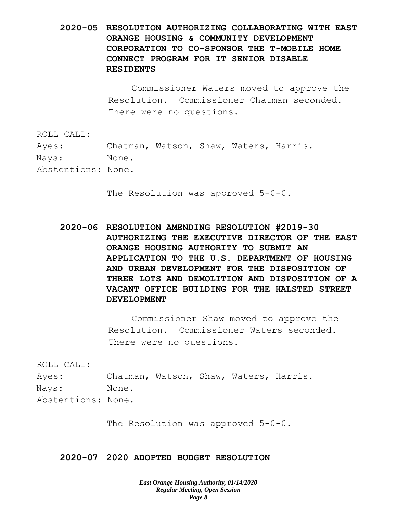**2020-05 RESOLUTION AUTHORIZING COLLABORATING WITH EAST ORANGE HOUSING & COMMUNITY DEVELOPMENT CORPORATION TO CO-SPONSOR THE T-MOBILE HOME CONNECT PROGRAM FOR IT SENIOR DISABLE RESIDENTS**

> Commissioner Waters moved to approve the Resolution. Commissioner Chatman seconded. There were no questions.

ROLL CALL:

Ayes: Chatman, Watson, Shaw, Waters, Harris. Nays: None.

Abstentions: None.

The Resolution was approved 5-0-0.

**2020-06 RESOLUTION AMENDING RESOLUTION #2019-30 AUTHORIZING THE EXECUTIVE DIRECTOR OF THE EAST ORANGE HOUSING AUTHORITY TO SUBMIT AN APPLICATION TO THE U.S. DEPARTMENT OF HOUSING AND URBAN DEVELOPMENT FOR THE DISPOSITION OF THREE LOTS AND DEMOLITION AND DISPOSITION OF A VACANT OFFICE BUILDING FOR THE HALSTED STREET DEVELOPMENT**

> Commissioner Shaw moved to approve the Resolution. Commissioner Waters seconded. There were no questions.

ROLL CALL:

Ayes: Chatman, Watson, Shaw, Waters, Harris. Nays: None. Abstentions: None.

The Resolution was approved 5-0-0.

## **2020-07 2020 ADOPTED BUDGET RESOLUTION**